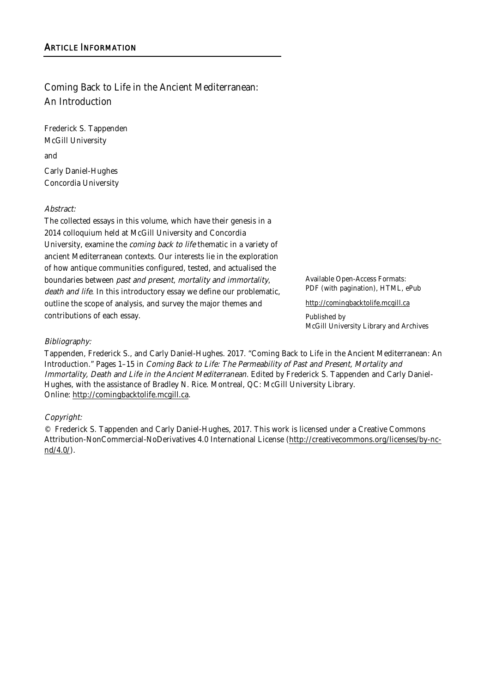# Coming Back to Life in the Ancient Mediterranean: An Introduction

Frederick S. Tappenden McGill University and

Carly Daniel-Hughes Concordia University

#### Abstract:

The collected essays in this volume, which have their genesis in a 2014 colloquium held at McGill University and Concordia University, examine the coming back to life thematic in a variety of ancient Mediterranean contexts. Our interests lie in the exploration of how antique communities configured, tested, and actualised the boundaries between past and present, mortality and immortality, death and life. In this introductory essay we define our problematic, outline the scope of analysis, and survey the major themes and contributions of each essay.

Available Open-Access Formats: PDF (with pagination), HTML, ePub

http://comingbacktolife.mcgill.ca

Published by McGill University Library and Archives

#### Bibliography:

Tappenden, Frederick S., and Carly Daniel-Hughes. 2017. "Coming Back to Life in the Ancient Mediterranean: An Introduction." Pages 1–15 in Coming Back to Life: The Permeability of Past and Present, Mortality and Immortality, Death and Life in the Ancient Mediterranean. Edited by Frederick S. Tappenden and Carly Daniel-Hughes, with the assistance of Bradley N. Rice. Montreal, QC: McGill University Library. Online: http://comingbacktolife.mcgill.ca.

#### Copyright:

© Frederick S. Tappenden and Carly Daniel-Hughes, 2017. This work is licensed under a Creative Commons Attribution-NonCommercial-NoDerivatives 4.0 International License (http://creativecommons.org/licenses/by-ncnd/4.0/).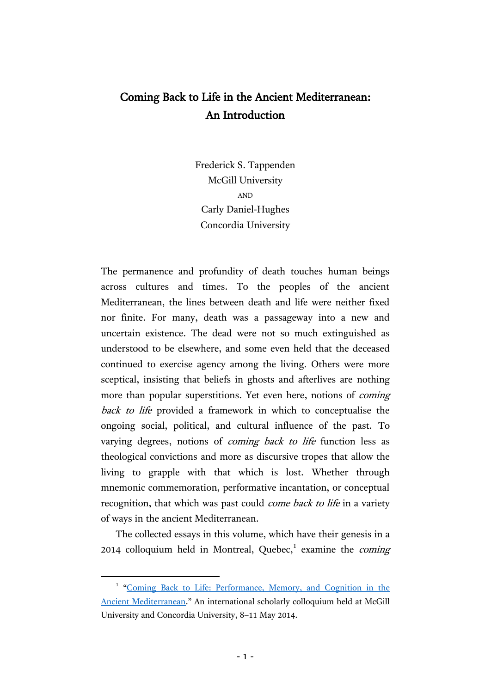# Coming Back to Life in the Ancient Mediterranean: An Introduction

Frederick S. Tappenden McGill University AND Carly Daniel-Hughes Concordia University

The permanence and profundity of death touches human beings across cultures and times. To the peoples of the ancient Mediterranean, the lines between death and life were neither fixed nor finite. For many, death was a passageway into a new and uncertain existence. The dead were not so much extinguished as understood to be elsewhere, and some even held that the deceased continued to exercise agency among the living. Others were more sceptical, insisting that beliefs in ghosts and afterlives are nothing more than popular superstitions. Yet even here, notions of *coming* back to life provided a framework in which to conceptualise the ongoing social, political, and cultural influence of the past. To varying degrees, notions of *coming back to life* function less as theological convictions and more as discursive tropes that allow the living to grapple with that which is lost. Whether through mnemonic commemoration, performative incantation, or conceptual recognition, that which was past could *come back to life* in a variety of ways in the ancient Mediterranean.

The collected essays in this volume, which have their genesis in a 2014 colloquium held in Montreal, Quebec,<sup>1</sup> examine the *coming* 

 $\overline{a}$ 

<sup>&</sup>lt;sup>1</sup> "Coming Back to Life: Performance, Memory, and Cognition in the [Ancient Mediterranean.](http://coming-back-to-life.conference.mcgill.ca/)" An international scholarly colloquium held at McGill University and Concordia University, 8–11 May 2014.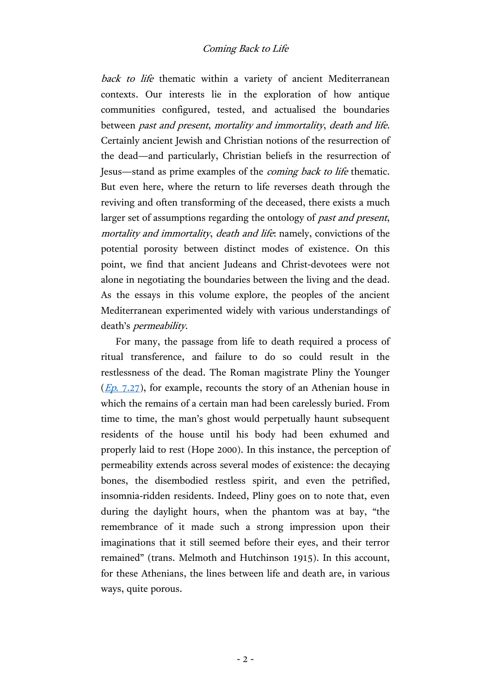back to life thematic within a variety of ancient Mediterranean contexts. Our interests lie in the exploration of how antique communities configured, tested, and actualised the boundaries between past and present, mortality and immortality, death and life. Certainly ancient Jewish and Christian notions of the resurrection of the dead—and particularly, Christian beliefs in the resurrection of Jesus—stand as prime examples of the coming back to life thematic. But even here, where the return to life reverses death through the reviving and often transforming of the deceased, there exists a much larger set of assumptions regarding the ontology of past and present, mortality and immortality, death and life: namely, convictions of the potential porosity between distinct modes of existence. On this point, we find that ancient Judeans and Christ-devotees were not alone in negotiating the boundaries between the living and the dead. As the essays in this volume explore, the peoples of the ancient Mediterranean experimented widely with various understandings of death's permeability.

For many, the passage from life to death required a process of ritual transference, and failure to do so could result in the restlessness of the dead. The Roman magistrate Pliny the Younger  $(Ep. 7.27)$  $(Ep. 7.27)$ , for example, recounts the story of an Athenian house in which the remains of a certain man had been carelessly buried. From time to time, the man's ghost would perpetually haunt subsequent residents of the house until his body had been exhumed and properly laid to rest (Hope 2000). In this instance, the perception of permeability extends across several modes of existence: the decaying bones, the disembodied restless spirit, and even the petrified, insomnia-ridden residents. Indeed, Pliny goes on to note that, even during the daylight hours, when the phantom was at bay, "the remembrance of it made such a strong impression upon their imaginations that it still seemed before their eyes, and their terror remained" (trans. Melmoth and Hutchinson 1915). In this account, for these Athenians, the lines between life and death are, in various ways, quite porous.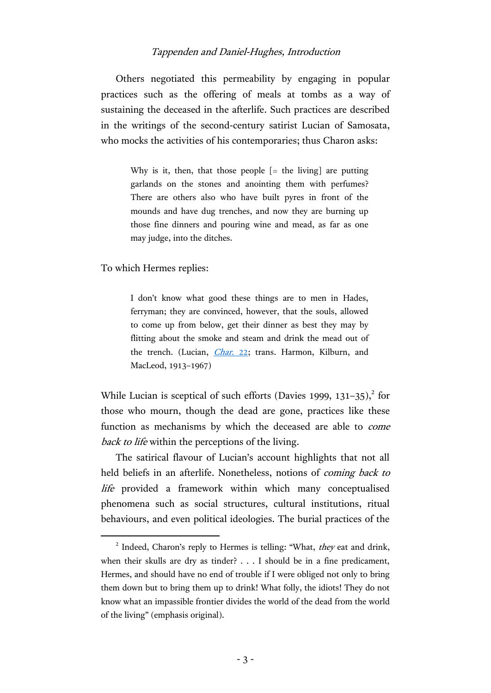Others negotiated this permeability by engaging in popular practices such as the offering of meals at tombs as a way of sustaining the deceased in the afterlife. Such practices are described in the writings of the second-century satirist Lucian of Samosata, who mocks the activities of his contemporaries; thus Charon asks:

> Why is it, then, that those people  $[=$  the living] are putting garlands on the stones and anointing them with perfumes? There are others also who have built pyres in front of the mounds and have dug trenches, and now they are burning up those fine dinners and pouring wine and mead, as far as one may judge, into the ditches.

To which Hermes replies:

 $\overline{a}$ 

I don't know what good these things are to men in Hades, ferryman; they are convinced, however, that the souls, allowed to come up from below, get their dinner as best they may by flitting about the smoke and steam and drink the mead out of the trench. (Lucian, *Char. 22*; trans. Harmon, Kilburn, and MacLeod, 1913–1967)

While Lucian is sceptical of such efforts (Davies 1999, 131-35),<sup>2</sup> for those who mourn, though the dead are gone, practices like these function as mechanisms by which the deceased are able to come back to life within the perceptions of the living.

The satirical flavour of Lucian's account highlights that not all held beliefs in an afterlife. Nonetheless, notions of *coming back to* life provided a framework within which many conceptualised phenomena such as social structures, cultural institutions, ritual behaviours, and even political ideologies. The burial practices of the

<sup>&</sup>lt;sup>2</sup> Indeed, Charon's reply to Hermes is telling: "What, they eat and drink, when their skulls are dry as tinder? . . . I should be in a fine predicament, Hermes, and should have no end of trouble if I were obliged not only to bring them down but to bring them up to drink! What folly, the idiots! They do not know what an impassible frontier divides the world of the dead from the world of the living" (emphasis original).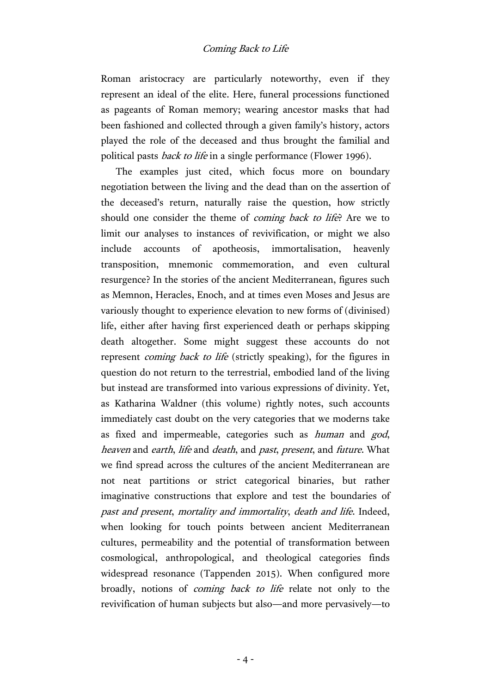Roman aristocracy are particularly noteworthy, even if they represent an ideal of the elite. Here, funeral processions functioned as pageants of Roman memory; wearing ancestor masks that had been fashioned and collected through a given family's history, actors played the role of the deceased and thus brought the familial and political pasts back to life in a single performance (Flower 1996).

The examples just cited, which focus more on boundary negotiation between the living and the dead than on the assertion of the deceased's return, naturally raise the question, how strictly should one consider the theme of *coming back to life*? Are we to limit our analyses to instances of revivification, or might we also include accounts of apotheosis, immortalisation, heavenly transposition, mnemonic commemoration, and even cultural resurgence? In the stories of the ancient Mediterranean, figures such as Memnon, Heracles, Enoch, and at times even Moses and Jesus are variously thought to experience elevation to new forms of (divinised) life, either after having first experienced death or perhaps skipping death altogether. Some might suggest these accounts do not represent *coming back to life* (strictly speaking), for the figures in question do not return to the terrestrial, embodied land of the living but instead are transformed into various expressions of divinity. Yet, as Katharina Waldner (this volume) rightly notes, such accounts immediately cast doubt on the very categories that we moderns take as fixed and impermeable, categories such as human and god, heaven and earth, life and death, and past, present, and future. What we find spread across the cultures of the ancient Mediterranean are not neat partitions or strict categorical binaries, but rather imaginative constructions that explore and test the boundaries of past and present, mortality and immortality, death and life. Indeed, when looking for touch points between ancient Mediterranean cultures, permeability and the potential of transformation between cosmological, anthropological, and theological categories finds widespread resonance (Tappenden 2015). When configured more broadly, notions of *coming back to life* relate not only to the revivification of human subjects but also—and more pervasively—to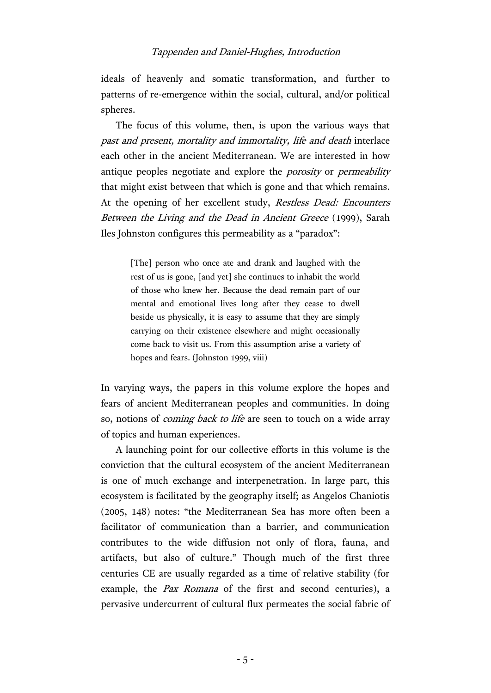ideals of heavenly and somatic transformation, and further to patterns of re-emergence within the social, cultural, and/or political spheres.

The focus of this volume, then, is upon the various ways that past and present, mortality and immortality, life and death interlace each other in the ancient Mediterranean. We are interested in how antique peoples negotiate and explore the *porosity* or *permeability* that might exist between that which is gone and that which remains. At the opening of her excellent study, Restless Dead: Encounters Between the Living and the Dead in Ancient Greece (1999), Sarah Iles Johnston configures this permeability as a "paradox":

> [The] person who once ate and drank and laughed with the rest of us is gone, [and yet] she continues to inhabit the world of those who knew her. Because the dead remain part of our mental and emotional lives long after they cease to dwell beside us physically, it is easy to assume that they are simply carrying on their existence elsewhere and might occasionally come back to visit us. From this assumption arise a variety of hopes and fears. (Johnston 1999, viii)

In varying ways, the papers in this volume explore the hopes and fears of ancient Mediterranean peoples and communities. In doing so, notions of *coming back to life* are seen to touch on a wide array of topics and human experiences.

A launching point for our collective efforts in this volume is the conviction that the cultural ecosystem of the ancient Mediterranean is one of much exchange and interpenetration. In large part, this ecosystem is facilitated by the geography itself; as Angelos Chaniotis (2005, 148) notes: "the Mediterranean Sea has more often been a facilitator of communication than a barrier, and communication contributes to the wide diffusion not only of flora, fauna, and artifacts, but also of culture." Though much of the first three centuries CE are usually regarded as a time of relative stability (for example, the *Pax Romana* of the first and second centuries), a pervasive undercurrent of cultural flux permeates the social fabric of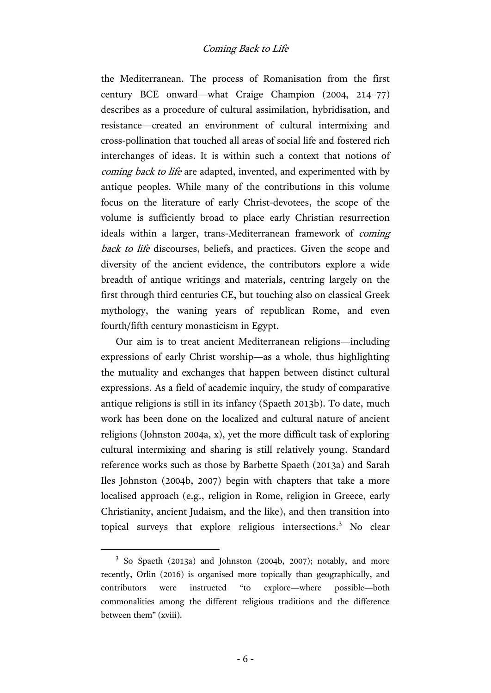the Mediterranean. The process of Romanisation from the first century BCE onward—what Craige Champion (2004, 214–77) describes as a procedure of cultural assimilation, hybridisation, and resistance—created an environment of cultural intermixing and cross-pollination that touched all areas of social life and fostered rich interchanges of ideas. It is within such a context that notions of coming back to life are adapted, invented, and experimented with by antique peoples. While many of the contributions in this volume focus on the literature of early Christ-devotees, the scope of the volume is sufficiently broad to place early Christian resurrection ideals within a larger, trans-Mediterranean framework of coming back to life discourses, beliefs, and practices. Given the scope and diversity of the ancient evidence, the contributors explore a wide breadth of antique writings and materials, centring largely on the first through third centuries CE, but touching also on classical Greek mythology, the waning years of republican Rome, and even fourth/fifth century monasticism in Egypt.

Our aim is to treat ancient Mediterranean religions—including expressions of early Christ worship—as a whole, thus highlighting the mutuality and exchanges that happen between distinct cultural expressions. As a field of academic inquiry, the study of comparative antique religions is still in its infancy (Spaeth 2013b). To date, much work has been done on the localized and cultural nature of ancient religions (Johnston 2004a, x), yet the more difficult task of exploring cultural intermixing and sharing is still relatively young. Standard reference works such as those by Barbette Spaeth (2013a) and Sarah Iles Johnston (2004b, 2007) begin with chapters that take a more localised approach (e.g., religion in Rome, religion in Greece, early Christianity, ancient Judaism, and the like), and then transition into topical surveys that explore religious intersections.<sup>3</sup> No clear

 $\overline{a}$ 

<sup>&</sup>lt;sup>3</sup> So Spaeth (2013a) and Johnston (2004b, 2007); notably, and more recently, Orlin (2016) is organised more topically than geographically, and contributors were instructed "to explore—where possible—both commonalities among the different religious traditions and the difference between them" (xviii).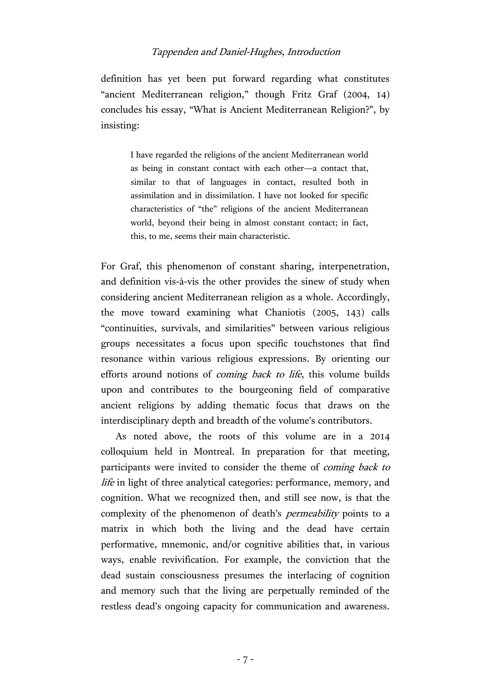definition has yet been put forward regarding what constitutes "ancient Mediterranean religion," though Fritz Graf (2004, 14) concludes his essay, "What is Ancient Mediterranean Religion?", by insisting:

I have regarded the religions of the ancient Mediterranean world as being in constant contact with each other—a contact that, similar to that of languages in contact, resulted both in assimilation and in dissimilation. I have not looked for specific characteristics of "the" religions of the ancient Mediterranean world, beyond their being in almost constant contact; in fact, this, to me, seems their main characteristic.

For Graf, this phenomenon of constant sharing, interpenetration, and definition vis-à-vis the other provides the sinew of study when considering ancient Mediterranean religion as a whole. Accordingly, the move toward examining what Chaniotis (2005, 143) calls "continuities, survivals, and similarities" between various religious groups necessitates a focus upon specific touchstones that find resonance within various religious expressions. By orienting our efforts around notions of *coming back to life*, this volume builds upon and contributes to the bourgeoning field of comparative ancient religions by adding thematic focus that draws on the interdisciplinary depth and breadth of the volume's contributors.

As noted above, the roots of this volume are in a 2014 colloquium held in Montreal. In preparation for that meeting, participants were invited to consider the theme of coming back to life in light of three analytical categories: performance, memory, and cognition. What we recognized then, and still see now, is that the complexity of the phenomenon of death's *permeability* points to a matrix in which both the living and the dead have certain performative, mnemonic, and/or cognitive abilities that, in various ways, enable revivification. For example, the conviction that the dead sustain consciousness presumes the interlacing of cognition and memory such that the living are perpetually reminded of the restless dead's ongoing capacity for communication and awareness.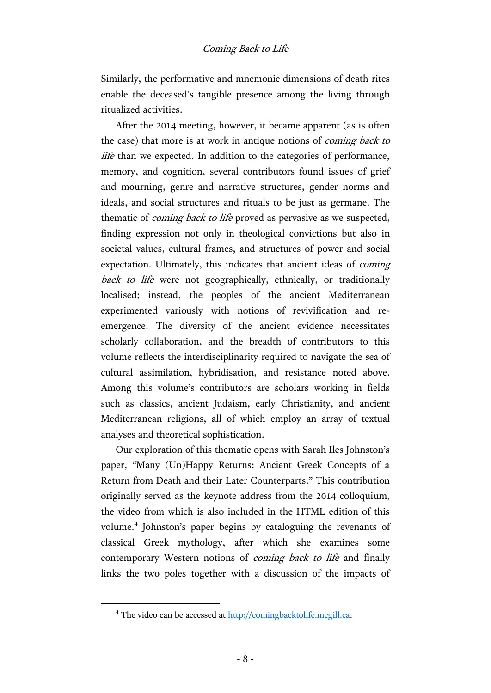Similarly, the performative and mnemonic dimensions of death rites enable the deceased's tangible presence among the living through ritualized activities.

After the 2014 meeting, however, it became apparent (as is often the case) that more is at work in antique notions of coming back to life than we expected. In addition to the categories of performance, memory, and cognition, several contributors found issues of grief and mourning, genre and narrative structures, gender norms and ideals, and social structures and rituals to be just as germane. The thematic of *coming back to life* proved as pervasive as we suspected, finding expression not only in theological convictions but also in societal values, cultural frames, and structures of power and social expectation. Ultimately, this indicates that ancient ideas of coming back to life were not geographically, ethnically, or traditionally localised; instead, the peoples of the ancient Mediterranean experimented variously with notions of revivification and reemergence. The diversity of the ancient evidence necessitates scholarly collaboration, and the breadth of contributors to this volume reflects the interdisciplinarity required to navigate the sea of cultural assimilation, hybridisation, and resistance noted above. Among this volume's contributors are scholars working in fields such as classics, ancient Judaism, early Christianity, and ancient Mediterranean religions, all of which employ an array of textual analyses and theoretical sophistication.

Our exploration of this thematic opens with Sarah Iles Johnston's paper, "Many (Un)Happy Returns: Ancient Greek Concepts of a Return from Death and their Later Counterparts." This contribution originally served as the keynote address from the 2014 colloquium, the video from which is also included in the HTML edition of this volume. 4 Johnston's paper begins by cataloguing the revenants of classical Greek mythology, after which she examines some contemporary Western notions of *coming back to life* and finally links the two poles together with a discussion of the impacts of

 $\overline{a}$ 

<sup>4</sup> The video can be accessed at [http://comingbacktolife.mcgill.ca.](http://comingbacktolife.mcgill.ca/)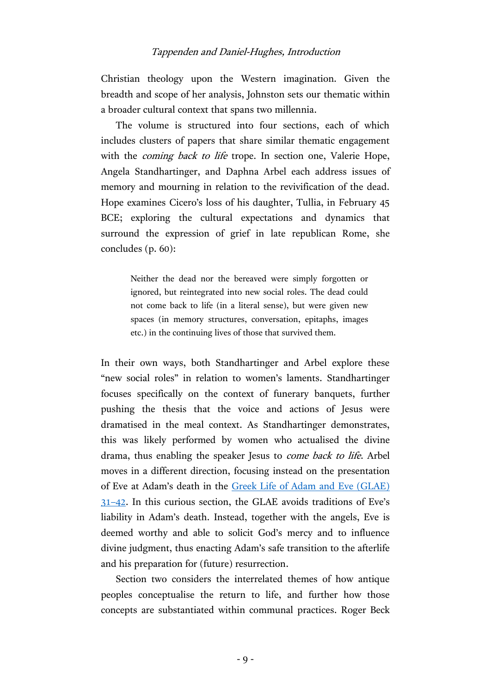Christian theology upon the Western imagination. Given the breadth and scope of her analysis, Johnston sets our thematic within a broader cultural context that spans two millennia.

The volume is structured into four sections, each of which includes clusters of papers that share similar thematic engagement with the *coming back to life* trope. In section one, Valerie Hope, Angela Standhartinger, and Daphna Arbel each address issues of memory and mourning in relation to the revivification of the dead. Hope examines Cicero's loss of his daughter, Tullia, in February 45 BCE; exploring the cultural expectations and dynamics that surround the expression of grief in late republican Rome, she concludes (p. 60):

> Neither the dead nor the bereaved were simply forgotten or ignored, but reintegrated into new social roles. The dead could not come back to life (in a literal sense), but were given new spaces (in memory structures, conversation, epitaphs, images etc.) in the continuing lives of those that survived them.

In their own ways, both Standhartinger and Arbel explore these "new social roles" in relation to women's laments. Standhartinger focuses specifically on the context of funerary banquets, further pushing the thesis that the voice and actions of Jesus were dramatised in the meal context. As Standhartinger demonstrates, this was likely performed by women who actualised the divine drama, thus enabling the speaker Jesus to *come back to life*. Arbel moves in a different direction, focusing instead on the presentation of Eve at Adam's death in the [Greek Life of Adam and Eve \(GLAE\)](http://www2.iath.virginia.edu/anderson/vita/english/vita.gre.html#per28)  31–[42.](http://www2.iath.virginia.edu/anderson/vita/english/vita.gre.html#per28) In this curious section, the GLAE avoids traditions of Eve's liability in Adam's death. Instead, together with the angels, Eve is deemed worthy and able to solicit God's mercy and to influence divine judgment, thus enacting Adam's safe transition to the afterlife and his preparation for (future) resurrection.

Section two considers the interrelated themes of how antique peoples conceptualise the return to life, and further how those concepts are substantiated within communal practices. Roger Beck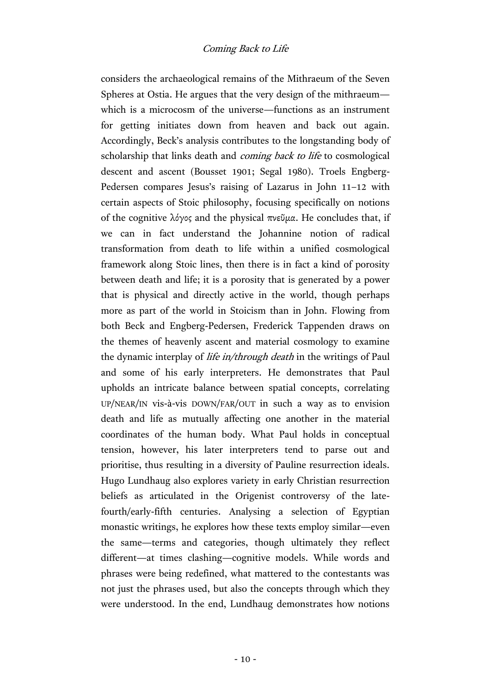considers the archaeological remains of the Mithraeum of the Seven Spheres at Ostia. He argues that the very design of the mithraeum which is a microcosm of the universe—functions as an instrument for getting initiates down from heaven and back out again. Accordingly, Beck's analysis contributes to the longstanding body of scholarship that links death and *coming back to life* to cosmological descent and ascent (Bousset 1901; Segal 1980). Troels Engberg-Pedersen compares Jesus's raising of Lazarus in John 11–12 with certain aspects of Stoic philosophy, focusing specifically on notions of the cognitive λόγος and the physical πνεῦμα. He concludes that, if we can in fact understand the Johannine notion of radical transformation from death to life within a unified cosmological framework along Stoic lines, then there is in fact a kind of porosity between death and life; it is a porosity that is generated by a power that is physical and directly active in the world, though perhaps more as part of the world in Stoicism than in John. Flowing from both Beck and Engberg-Pedersen, Frederick Tappenden draws on the themes of heavenly ascent and material cosmology to examine the dynamic interplay of *life in/through death* in the writings of Paul and some of his early interpreters. He demonstrates that Paul upholds an intricate balance between spatial concepts, correlating UP/NEAR/IN vis-à-vis DOWN/FAR/OUT in such a way as to envision death and life as mutually affecting one another in the material coordinates of the human body. What Paul holds in conceptual tension, however, his later interpreters tend to parse out and prioritise, thus resulting in a diversity of Pauline resurrection ideals. Hugo Lundhaug also explores variety in early Christian resurrection beliefs as articulated in the Origenist controversy of the latefourth/early-fifth centuries. Analysing a selection of Egyptian monastic writings, he explores how these texts employ similar—even the same—terms and categories, though ultimately they reflect different—at times clashing—cognitive models. While words and phrases were being redefined, what mattered to the contestants was not just the phrases used, but also the concepts through which they were understood. In the end, Lundhaug demonstrates how notions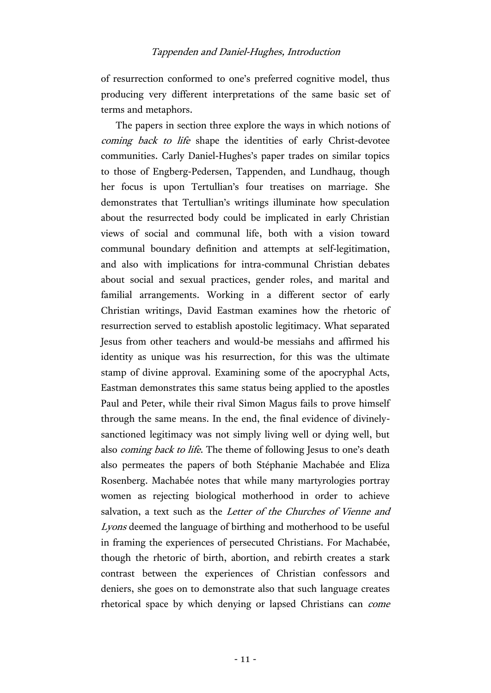of resurrection conformed to one's preferred cognitive model, thus producing very different interpretations of the same basic set of terms and metaphors.

The papers in section three explore the ways in which notions of coming back to life shape the identities of early Christ-devotee communities. Carly Daniel-Hughes's paper trades on similar topics to those of Engberg-Pedersen, Tappenden, and Lundhaug, though her focus is upon Tertullian's four treatises on marriage. She demonstrates that Tertullian's writings illuminate how speculation about the resurrected body could be implicated in early Christian views of social and communal life, both with a vision toward communal boundary definition and attempts at self-legitimation, and also with implications for intra-communal Christian debates about social and sexual practices, gender roles, and marital and familial arrangements. Working in a different sector of early Christian writings, David Eastman examines how the rhetoric of resurrection served to establish apostolic legitimacy. What separated Jesus from other teachers and would-be messiahs and affirmed his identity as unique was his resurrection, for this was the ultimate stamp of divine approval. Examining some of the apocryphal Acts, Eastman demonstrates this same status being applied to the apostles Paul and Peter, while their rival Simon Magus fails to prove himself through the same means. In the end, the final evidence of divinelysanctioned legitimacy was not simply living well or dying well, but also *coming back to life*. The theme of following Jesus to one's death also permeates the papers of both Stéphanie Machabée and Eliza Rosenberg. Machabée notes that while many martyrologies portray women as rejecting biological motherhood in order to achieve salvation, a text such as the Letter of the Churches of Vienne and Lyons deemed the language of birthing and motherhood to be useful in framing the experiences of persecuted Christians. For Machabée, though the rhetoric of birth, abortion, and rebirth creates a stark contrast between the experiences of Christian confessors and deniers, she goes on to demonstrate also that such language creates rhetorical space by which denying or lapsed Christians can come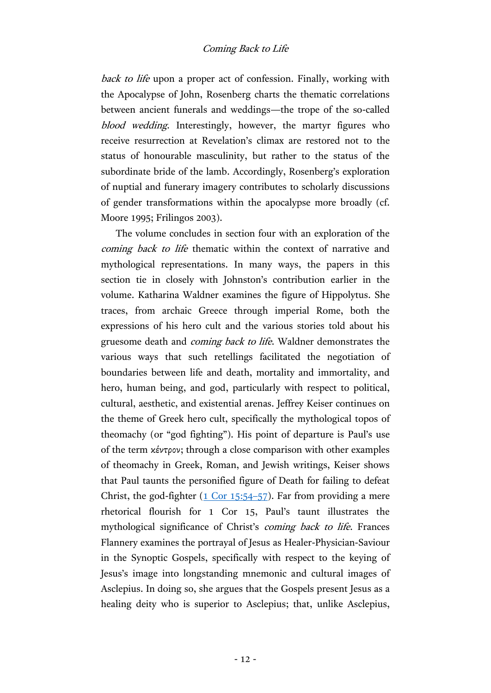back to life upon a proper act of confession. Finally, working with the Apocalypse of John, Rosenberg charts the thematic correlations between ancient funerals and weddings—the trope of the so-called blood wedding. Interestingly, however, the martyr figures who receive resurrection at Revelation's climax are restored not to the status of honourable masculinity, but rather to the status of the subordinate bride of the lamb. Accordingly, Rosenberg's exploration of nuptial and funerary imagery contributes to scholarly discussions of gender transformations within the apocalypse more broadly (cf. Moore 1995; Frilingos 2003).

The volume concludes in section four with an exploration of the coming back to life thematic within the context of narrative and mythological representations. In many ways, the papers in this section tie in closely with Johnston's contribution earlier in the volume. Katharina Waldner examines the figure of Hippolytus. She traces, from archaic Greece through imperial Rome, both the expressions of his hero cult and the various stories told about his gruesome death and coming back to life. Waldner demonstrates the various ways that such retellings facilitated the negotiation of boundaries between life and death, mortality and immortality, and hero, human being, and god, particularly with respect to political, cultural, aesthetic, and existential arenas. Jeffrey Keiser continues on the theme of Greek hero cult, specifically the mythological topos of theomachy (or "god fighting"). His point of departure is Paul's use of the term κέντρον; through a close comparison with other examples of theomachy in Greek, Roman, and Jewish writings, Keiser shows that Paul taunts the personified figure of Death for failing to defeat Christ, the god-fighter [\(1 Cor 15:54](http://www.academic-bible.com/bible-text/1Corinthians15.54-57/NA/)–57). Far from providing a mere rhetorical flourish for 1 Cor 15, Paul's taunt illustrates the mythological significance of Christ's coming back to life. Frances Flannery examines the portrayal of Jesus as Healer-Physician-Saviour in the Synoptic Gospels, specifically with respect to the keying of Jesus's image into longstanding mnemonic and cultural images of Asclepius. In doing so, she argues that the Gospels present Jesus as a healing deity who is superior to Asclepius; that, unlike Asclepius,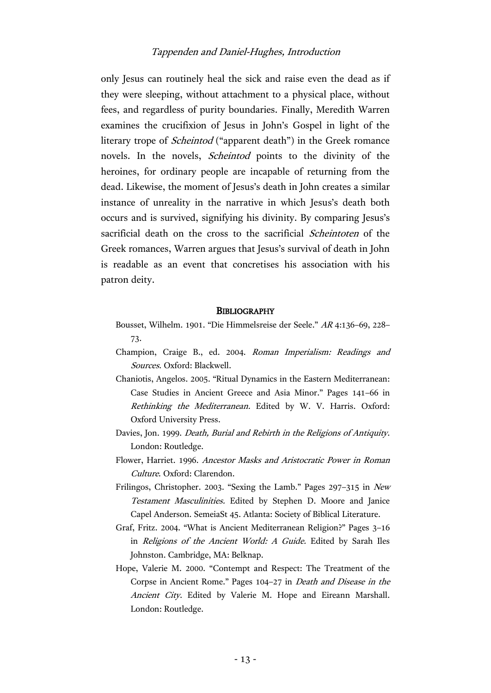only Jesus can routinely heal the sick and raise even the dead as if they were sleeping, without attachment to a physical place, without fees, and regardless of purity boundaries. Finally, Meredith Warren examines the crucifixion of Jesus in John's Gospel in light of the literary trope of *Scheintod* ("apparent death") in the Greek romance novels. In the novels, Scheintod points to the divinity of the heroines, for ordinary people are incapable of returning from the dead. Likewise, the moment of Jesus's death in John creates a similar instance of unreality in the narrative in which Jesus's death both occurs and is survived, signifying his divinity. By comparing Jesus's sacrificial death on the cross to the sacrificial *Scheintoten* of the Greek romances, Warren argues that Jesus's survival of death in John is readable as an event that concretises his association with his patron deity.

#### **BIBLIOGRAPHY**

- Bousset, Wilhelm. 1901. "Die Himmelsreise der Seele." AR 4:136–69, 228– 73.
- Champion, Craige B., ed. 2004. Roman Imperialism: Readings and Sources. Oxford: Blackwell.
- Chaniotis, Angelos. 2005. "Ritual Dynamics in the Eastern Mediterranean: Case Studies in Ancient Greece and Asia Minor." Pages 141–66 in Rethinking the Mediterranean. Edited by W. V. Harris. Oxford: Oxford University Press.
- Davies, Jon. 1999. Death, Burial and Rebirth in the Religions of Antiquity. London: Routledge.
- Flower, Harriet. 1996. Ancestor Masks and Aristocratic Power in Roman Culture. Oxford: Clarendon.
- Frilingos, Christopher. 2003. "Sexing the Lamb." Pages 297–315 in New Testament Masculinities. Edited by Stephen D. Moore and Janice Capel Anderson. SemeiaSt 45. Atlanta: Society of Biblical Literature.
- Graf, Fritz. 2004. "What is Ancient Mediterranean Religion?" Pages 3–16 in Religions of the Ancient World: A Guide. Edited by Sarah Iles Johnston. Cambridge, MA: Belknap.
- Hope, Valerie M. 2000. "Contempt and Respect: The Treatment of the Corpse in Ancient Rome." Pages 104–27 in Death and Disease in the Ancient City. Edited by Valerie M. Hope and Eireann Marshall. London: Routledge.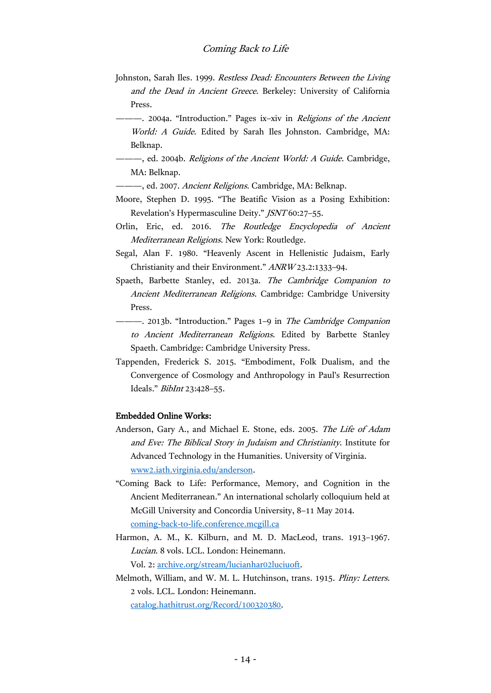- Johnston, Sarah Iles. 1999. Restless Dead: Encounters Between the Living and the Dead in Ancient Greece. Berkeley: University of California Press.
- -- 2004a. "Introduction." Pages ix-xiv in Religions of the Ancient World: A Guide. Edited by Sarah Iles Johnston. Cambridge, MA: Belknap.
- —, ed. 2004b. *Religions of the Ancient World: A Guide*. Cambridge, MA: Belknap.
	- -, ed. 2007. Ancient Religions. Cambridge, MA: Belknap.
- Moore, Stephen D. 1995. "The Beatific Vision as a Posing Exhibition: Revelation's Hypermasculine Deity." JSNT 60:27–55.
- Orlin, Eric, ed. 2016. The Routledge Encyclopedia of Ancient Mediterranean Religions. New York: Routledge.
- Segal, Alan F. 1980. "Heavenly Ascent in Hellenistic Judaism, Early Christianity and their Environment." ANRW 23.2:1333–94.
- Spaeth, Barbette Stanley, ed. 2013a. The Cambridge Companion to Ancient Mediterranean Religions. Cambridge: Cambridge University Press.
- 2013b. "Introduction." Pages 1–9 in The Cambridge Companion to Ancient Mediterranean Religions. Edited by Barbette Stanley Spaeth. Cambridge: Cambridge University Press.
- Tappenden, Frederick S. 2015. "Embodiment, Folk Dualism, and the Convergence of Cosmology and Anthropology in Paul's Resurrection Ideals." BibInt 23:428–55.

#### Embedded Online Works:

- Anderson, Gary A., and Michael E. Stone, eds. 2005. The Life of Adam and Eve: The Biblical Story in Judaism and Christianity. Institute for Advanced Technology in the Humanities. University of Virginia. [www2.iath.virginia.edu/anderson.](http://www2.iath.virginia.edu/anderson/)
- "Coming Back to Life: Performance, Memory, and Cognition in the Ancient Mediterranean." An international scholarly colloquium held at McGill University and Concordia University, 8–11 May 2014. [coming-back-to-life.conference.mcgill.ca](http://coming-back-to-life.conference.mcgill.ca/)
- Harmon, A. M., K. Kilburn, and M. D. MacLeod, trans. 1913–1967. Lucian. 8 vols. LCL. London: Heinemann. Vol. 2: [archive.org/stream/lucianhar02luciuoft.](https://archive.org/stream/lucianhar02luciuoft)
- Melmoth, William, and W. M. L. Hutchinson, trans. 1915. Pliny: Letters. 2 vols. LCL. London: Heinemann. [catalog.hathitrust.org/Record/100320380.](https://catalog.hathitrust.org/Record/100320380)